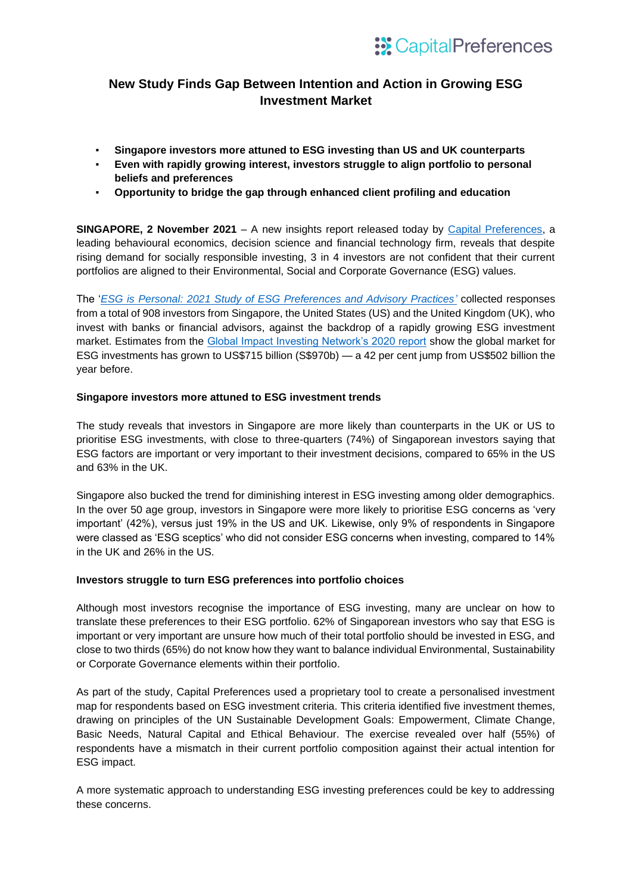# **New Study Finds Gap Between Intention and Action in Growing ESG Investment Market**

- **Singapore investors more attuned to ESG investing than US and UK counterparts**
- Even with rapidly growing interest, investors struggle to align portfolio to personal **beliefs and preferences**
- **Opportunity to bridge the gap through enhanced client profiling and education**

**SINGAPORE, 2 November 2021** – A new insights report released today by [Capital Preferences,](http://capitalpreferences.com/) a leading behavioural economics, decision science and financial technology firm, reveals that despite rising demand for socially responsible investing, 3 in 4 investors are not confident that their current portfolios are aligned to their Environmental, Social and Corporate Governance (ESG) values.

The '*ESG is Personal: 2021 [Study of ESG Preferences and Advisory Practices'](https://www.capitalpreferences.com/esg_wp)* collected responses from a total of 908 investors from Singapore, the United States (US) and the United Kingdom (UK), who invest with banks or financial advisors, against the backdrop of a rapidly growing ESG investment market. Estimates from the [Global Impact Investing Network's 2020 report](https://thegiin.org/research/publication/impinv-survey-2020) show the global market for ESG investments has grown to US\$715 billion (S\$970b) — a 42 per cent jump from US\$502 billion the year before.

## **Singapore investors more attuned to ESG investment trends**

The study reveals that investors in Singapore are more likely than counterparts in the UK or US to prioritise ESG investments, with close to three-quarters (74%) of Singaporean investors saying that ESG factors are important or very important to their investment decisions, compared to 65% in the US and 63% in the UK.

Singapore also bucked the trend for diminishing interest in ESG investing among older demographics. In the over 50 age group, investors in Singapore were more likely to prioritise ESG concerns as 'very important' (42%), versus just 19% in the US and UK. Likewise, only 9% of respondents in Singapore were classed as 'ESG sceptics' who did not consider ESG concerns when investing, compared to 14% in the UK and 26% in the US.

## **Investors struggle to turn ESG preferences into portfolio choices**

Although most investors recognise the importance of ESG investing, many are unclear on how to translate these preferences to their ESG portfolio. 62% of Singaporean investors who say that ESG is important or very important are unsure how much of their total portfolio should be invested in ESG, and close to two thirds (65%) do not know how they want to balance individual Environmental, Sustainability or Corporate Governance elements within their portfolio.

As part of the study, Capital Preferences used a proprietary tool to create a personalised investment map for respondents based on ESG investment criteria. This criteria identified five investment themes, drawing on principles of the UN Sustainable Development Goals: Empowerment, Climate Change, Basic Needs, Natural Capital and Ethical Behaviour. The exercise revealed over half (55%) of respondents have a mismatch in their current portfolio composition against their actual intention for ESG impact.

A more systematic approach to understanding ESG investing preferences could be key to addressing these concerns.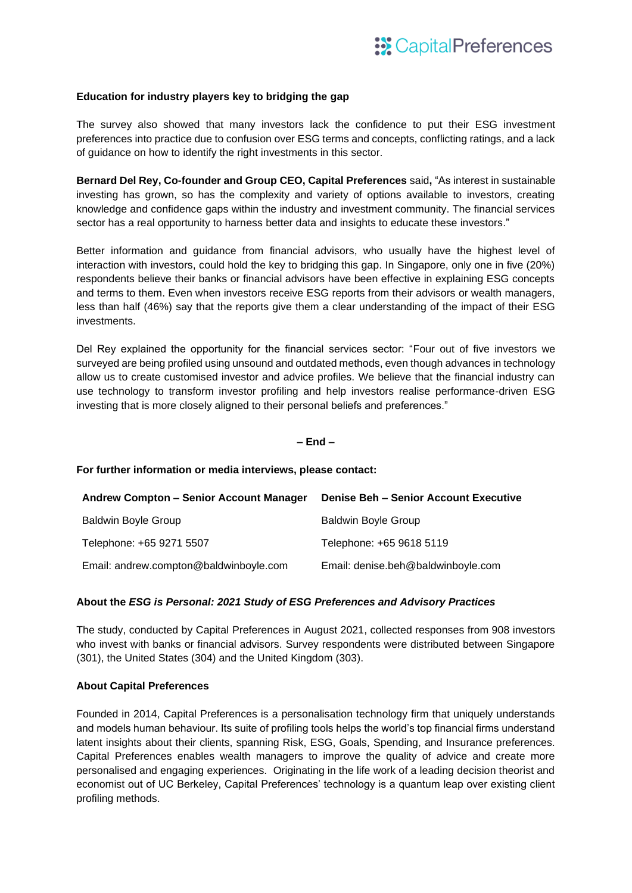### **Education for industry players key to bridging the gap**

The survey also showed that many investors lack the confidence to put their ESG investment preferences into practice due to confusion over ESG terms and concepts, conflicting ratings, and a lack of guidance on how to identify the right investments in this sector.

**Bernard Del Rey, Co-founder and Group CEO, Capital Preferences** said**,** "As interest in sustainable investing has grown, so has the complexity and variety of options available to investors, creating knowledge and confidence gaps within the industry and investment community. The financial services sector has a real opportunity to harness better data and insights to educate these investors."

Better information and guidance from financial advisors, who usually have the highest level of interaction with investors, could hold the key to bridging this gap. In Singapore, only one in five (20%) respondents believe their banks or financial advisors have been effective in explaining ESG concepts and terms to them. Even when investors receive ESG reports from their advisors or wealth managers, less than half (46%) say that the reports give them a clear understanding of the impact of their ESG investments.

Del Rey explained the opportunity for the financial services sector: "Four out of five investors we surveyed are being profiled using unsound and outdated methods, even though advances in technology allow us to create customised investor and advice profiles. We believe that the financial industry can use technology to transform investor profiling and help investors realise performance-driven ESG investing that is more closely aligned to their personal beliefs and preferences."

#### **– End –**

#### **For further information or media interviews, please contact:**

| Andrew Compton – Senior Account Manager | <b>Denise Beh - Senior Account Executive</b> |
|-----------------------------------------|----------------------------------------------|
| <b>Baldwin Boyle Group</b>              | <b>Baldwin Boyle Group</b>                   |
| Telephone: +65 9271 5507                | Telephone: +65 9618 5119                     |
| Email: andrew.compton@baldwinboyle.com  | Email: denise.beh@baldwinboyle.com           |

#### **About the** *ESG is Personal: 2021 Study of ESG Preferences and Advisory Practices*

The study, conducted by Capital Preferences in August 2021, collected responses from 908 investors who invest with banks or financial advisors. Survey respondents were distributed between Singapore (301), the United States (304) and the United Kingdom (303).

#### **About Capital Preferences**

Founded in 2014, Capital Preferences is a personalisation technology firm that uniquely understands and models human behaviour. Its suite of profiling tools helps the world's top financial firms understand latent insights about their clients, spanning Risk, ESG, Goals, Spending, and Insurance preferences. Capital Preferences enables wealth managers to improve the quality of advice and create more personalised and engaging experiences. Originating in the life work of a leading decision theorist and economist out of UC Berkeley, Capital Preferences' technology is a quantum leap over existing client profiling methods.